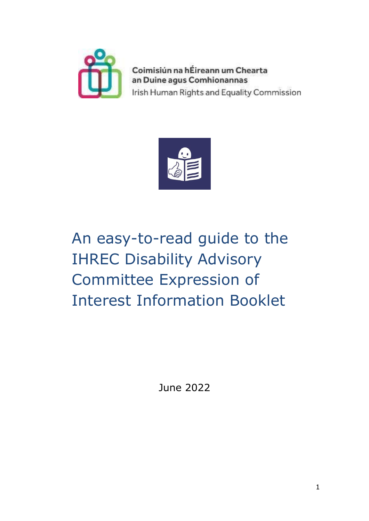

Coimisiún na hÉireann um Chearta an Duine agus Comhionannas Irish Human Rights and Equality Commission



# An easy-to-read guide to the IHREC Disability Advisory Committee Expression of Interest Information Booklet

June 2022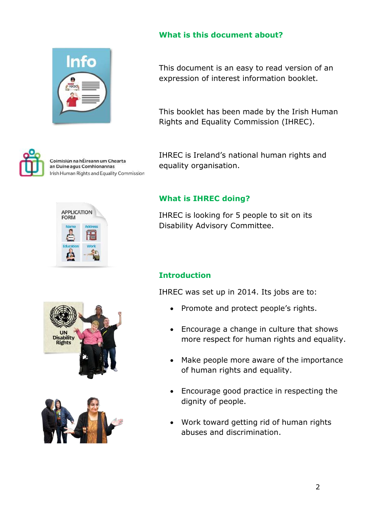



Coimisiún na hÉireann um Chearta an Duine agus Comhionannas Irish Human Rights and Equality Commission





This document is an easy to read version of an expression of interest information booklet.

This booklet has been made by the Irish Human Rights and Equality Commission (IHREC).

IHREC is Ireland's national human rights and equality organisation.

#### **What is IHREC doing?**

IHREC is looking for 5 people to sit on its Disability Advisory Committee.

### **Introduction**

IHREC was set up in 2014. Its jobs are to:

- Promote and protect people's rights.
- Encourage a change in culture that shows more respect for human rights and equality.
- Make people more aware of the importance of human rights and equality.
- Encourage good practice in respecting the dignity of people.
- Work toward getting rid of human rights abuses and discrimination.



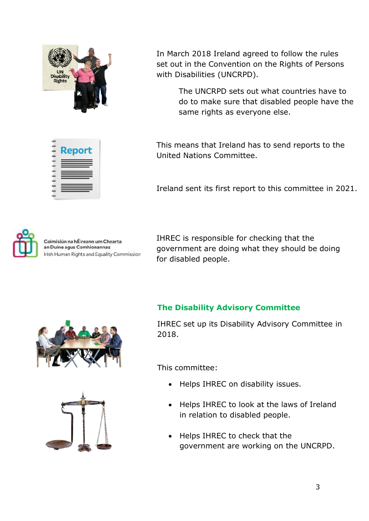

In March 2018 Ireland agreed to follow the rules set out in the Convention on the Rights of Persons with Disabilities (UNCRPD).

> The UNCRPD sets out what countries have to do to make sure that disabled people have the same rights as everyone else.

| <b>Report</b> |
|---------------|
|               |
|               |
| ==            |
|               |
|               |
|               |
|               |
|               |
|               |
|               |

This means that Ireland has to send reports to the United Nations Committee.

Ireland sent its first report to this committee in 2021.



Coimisiún na hÉireann um Chearta an Duine agus Comhionannas Irish Human Rights and Equality Commission IHREC is responsible for checking that the government are doing what they should be doing for disabled people.

#### **The Disability Advisory Committee**



This committee:

- Helps IHREC on disability issues.
- Helps IHREC to look at the laws of Ireland in relation to disabled people.
- Helps IHREC to check that the government are working on the UNCRPD.



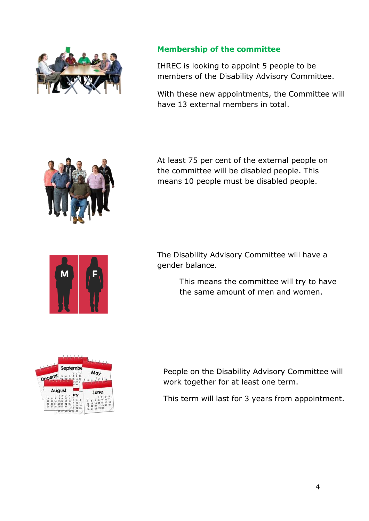

#### **Membership of the committee**

IHREC is looking to appoint 5 people to be members of the Disability Advisory Committee.

With these new appointments, the Committee will have 13 external members in total.



At least 75 per cent of the external people on the committee will be disabled people. This means 10 people must be disabled people.



The Disability Advisory Committee will have a gender balance.

> This means the committee will try to have the same amount of men and women.



People on the Disability Advisory Committee will work together for at least one term.

This term will last for 3 years from appointment.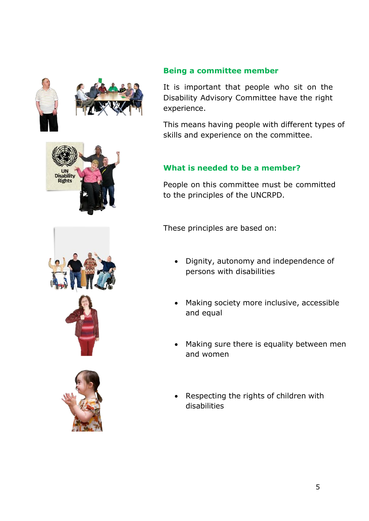

UN<br>Disability<br>Rights



It is important that people who sit on the Disability Advisory Committee have the right experience.

This means having people with different types of skills and experience on the committee.

### **What is needed to be a member?**

People on this committee must be committed to the principles of the UNCRPD.

These principles are based on:

- Dignity, autonomy and independence of persons with disabilities
- Making society more inclusive, accessible and equal
- Making sure there is equality between men and women
- Respecting the rights of children with disabilities

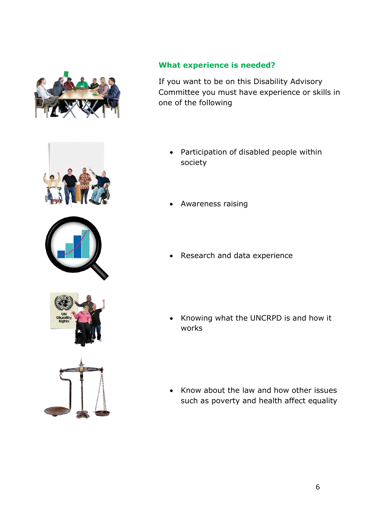

#### **What experience is needed?**

If you want to be on this Disability Advisory Committee you must have experience or skills in one of the following

- Participation of disabled people within society
- Awareness raising
- Research and data experience
- Knowing what the UNCRPD is and how it works
- Know about the law and how other issues such as poverty and health affect equality

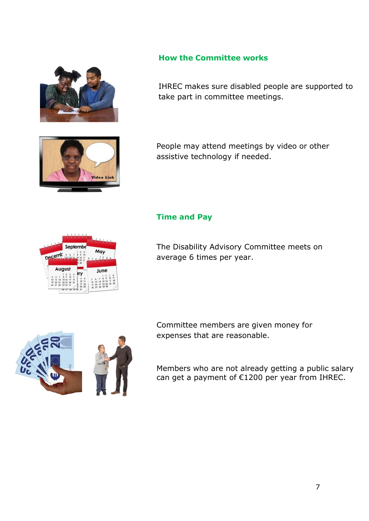

#### **How the Committee works**

IHREC makes sure disabled people are supported to take part in committee meetings.



People may attend meetings by video or other assistive technology if needed.

#### **Time and Pay**



The Disability Advisory Committee meets on average 6 times per year.

Committee members are given money for

expenses that are reasonable.



Members who are not already getting a public salary can get a payment of €1200 per year from IHREC.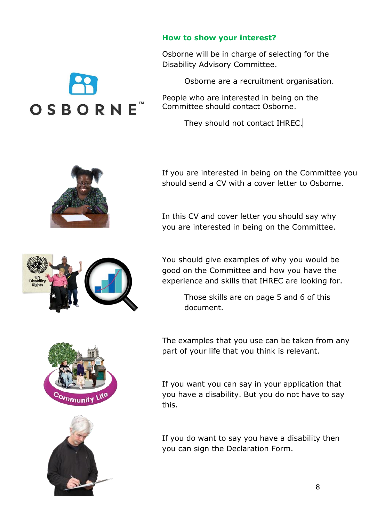#### **How to show your interest?**

Osborne will be in charge of selecting for the Disability Advisory Committee.

Osborne are a recruitment organisation.

People who are interested in being on the Committee should contact Osborne.

They should not contact IHREC.



OSBORNE

If you are interested in being on the Committee you should send a CV with a cover letter to Osborne.

In this CV and cover letter you should say why you are interested in being on the Committee.



You should give examples of why you would be good on the Committee and how you have the experience and skills that IHREC are looking for.

> Those skills are on page 5 and 6 of this document.

The examples that you use can be taken from any part of your life that you think is relevant.

If you want you can say in your application that you have a disability. But you do not have to say this.

If you do want to say you have a disability then you can sign the Declaration Form.





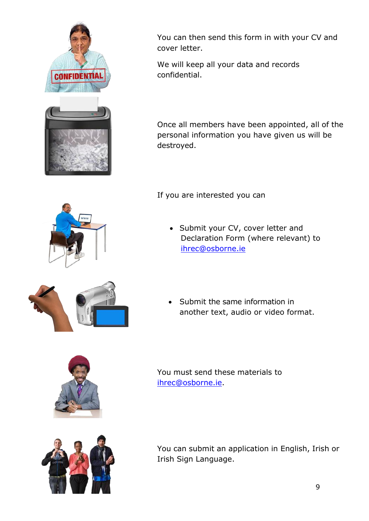



You can then send this form in with your CV and cover letter.

We will keep all your data and records confidential.

Once all members have been appointed, all of the personal information you have given us will be destroyed.

If you are interested you can

• Submit your CV, cover letter and Declaration Form (where relevant) to [ihrec@osborne.ie](mailto:ihrec@osborne.ie)



 Submit the same information in another text, audio or video format.



You must send these materials to [ihrec@osborne.ie.](mailto:ihrec@osborne.ie)



You can submit an application in English, Irish or Irish Sign Language.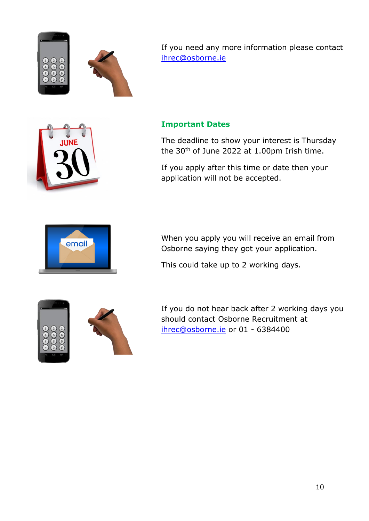

If you need any more information please contact [ihrec@osborne.ie](mailto:ihrec@osborne.ie)

#### **Important Dates**

The deadline to show your interest is Thursday the 30<sup>th</sup> of June 2022 at 1.00pm Irish time.

If you apply after this time or date then your application will not be accepted.



When you apply you will receive an email from Osborne saying they got your application.

This could take up to 2 working days.





If you do not hear back after 2 working days you should contact Osborne Recruitment at [ihrec@osborne.ie](mailto:ihrec@osborne.ie) or 01 - 6384400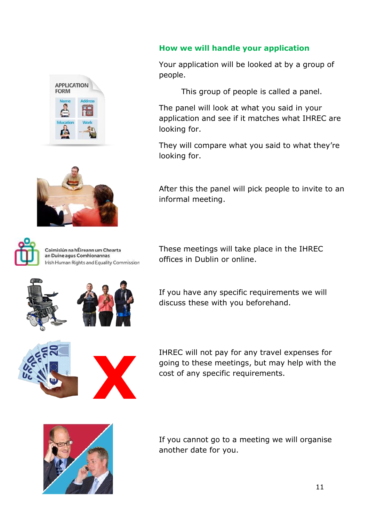





Coimisiún na hÉireann um Chearta an Duine agus Comhionannas Irish Human Rights and Equality Commission

#### **How we will handle your application**

Your application will be looked at by a group of people.

This group of people is called a panel.

The panel will look at what you said in your application and see if it matches what IHREC are looking for.

They will compare what you said to what they're looking for.

After this the panel will pick people to invite to an informal meeting.

These meetings will take place in the IHREC offices in Dublin or online.



If you have any specific requirements we will discuss these with you beforehand.



IHREC will not pay for any travel expenses for going to these meetings, but may help with the cost of any specific requirements.



If you cannot go to a meeting we will organise another date for you.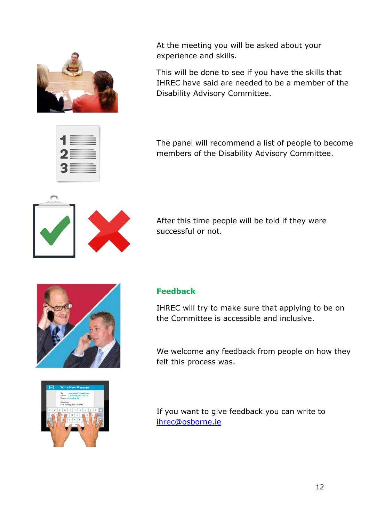

At the meeting you will be asked about your experience and skills.

This will be done to see if you have the skills that IHREC have said are needed to be a member of the Disability Advisory Committee.

The panel will recommend a list of people to become members of the Disability Advisory Committee.



After this time people will be told if they were successful or not.





#### **Feedback**

IHREC will try to make sure that applying to be on the Committee is accessible and inclusive.

We welcome any feedback from people on how they felt this process was.

If you want to give feedback you can write to [ihrec@osborne.ie](mailto:ihrec@osborne.ie)

12